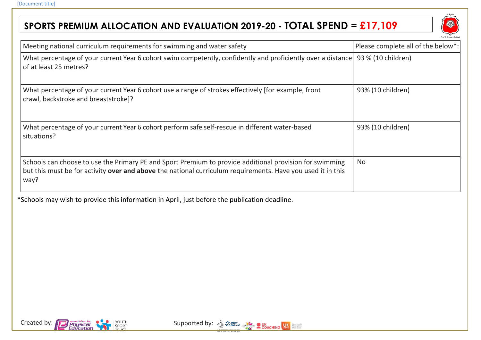## **SPORTS PREMIUM ALLOCATION AND EVALUATION 2019-20 - TOTAL SPEND = £17,109**



| Meeting national curriculum requirements for swimming and water safety                                                                                                                                                         | Please complete all of the below*: |
|--------------------------------------------------------------------------------------------------------------------------------------------------------------------------------------------------------------------------------|------------------------------------|
| What percentage of your current Year 6 cohort swim competently, confidently and proficiently over a distance<br>of at least 25 metres?                                                                                         | 93 % (10 children)                 |
| What percentage of your current Year 6 cohort use a range of strokes effectively [for example, front<br>crawl, backstroke and breaststroke]?                                                                                   | 93% (10 children)                  |
| What percentage of your current Year 6 cohort perform safe self-rescue in different water-based<br>situations?                                                                                                                 | 93% (10 children)                  |
| Schools can choose to use the Primary PE and Sport Premium to provide additional provision for swimming<br>but this must be for activity over and above the national curriculum requirements. Have you used it in this<br>way? | <b>No</b>                          |

\*Schools may wish to provide this information in April, just before the publication deadline.

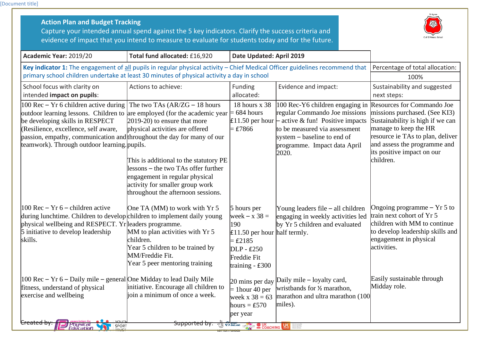[Document title]

| <b>Action Plan and Budget Tracking</b><br>Capture your intended annual spend against the 5 key indicators. Clarify the success criteria and<br>evidence of impact that you intend to measure to evaluate for students today and for the future.                                                                          |                                                                                                                                                                                                                                                                                                   |                                                                                                                                                                                                                                                                                                                                |                                                                                                                                                                                                                                               |                                                                                                                                                                                                                                         |
|--------------------------------------------------------------------------------------------------------------------------------------------------------------------------------------------------------------------------------------------------------------------------------------------------------------------------|---------------------------------------------------------------------------------------------------------------------------------------------------------------------------------------------------------------------------------------------------------------------------------------------------|--------------------------------------------------------------------------------------------------------------------------------------------------------------------------------------------------------------------------------------------------------------------------------------------------------------------------------|-----------------------------------------------------------------------------------------------------------------------------------------------------------------------------------------------------------------------------------------------|-----------------------------------------------------------------------------------------------------------------------------------------------------------------------------------------------------------------------------------------|
| Academic Year: 2019/20                                                                                                                                                                                                                                                                                                   | Total fund allocated: £16,920                                                                                                                                                                                                                                                                     | Date Updated: April 2019                                                                                                                                                                                                                                                                                                       |                                                                                                                                                                                                                                               |                                                                                                                                                                                                                                         |
| Key indicator 1: The engagement of all pupils in regular physical activity - Chief Medical Officer guidelines recommend that<br>primary school children undertake at least 30 minutes of physical activity a day in school                                                                                               |                                                                                                                                                                                                                                                                                                   |                                                                                                                                                                                                                                                                                                                                |                                                                                                                                                                                                                                               | Percentage of total allocation:<br>100%                                                                                                                                                                                                 |
| School focus with clarity on<br>intended impact on pupils:                                                                                                                                                                                                                                                               | Actions to achieve:                                                                                                                                                                                                                                                                               | Funding<br>allocated:                                                                                                                                                                                                                                                                                                          | Evidence and impact:                                                                                                                                                                                                                          | Sustainability and suggested<br>next steps:                                                                                                                                                                                             |
| 100 Rec – Yr 6 children active during<br>outdoor learning lessons. Children to are employed (for the academic year<br>be developing skills in RESPECT<br>(Resilience, excellence, self aware,<br>passion, empathy, communication and throughout the day for many of our<br>teamwork). Through outdoor learning . pupils. | The two TAs $(AR/ZG - 18$ hours<br>$[2019-20)$ to ensure that more<br>physical activities are offered<br>This is additional to the statutory PE<br>lessons – the two TAs offer further<br>engagement in regular physical<br>activity for smaller group work<br>throughout the afternoon sessions. | 18 hours x 38<br>$= 684$ hours<br>$=$ £7866                                                                                                                                                                                                                                                                                    | 100 Rec-Y6 children engaging in<br>regular Commando Joe missions<br><b>E11.50</b> per hour $\vdash$ active & fun! Positive impacts<br>to be measured via assessment<br>system $-$ baseline to end of<br>programme. Impact data April<br>2020. | Resources for Commando Joe<br>missions purchased. (See KI3)<br>Sustainability is high if we can<br>manage to keep the HR<br>resource ie TAs to plan, deliver<br>and assess the programme and<br>its positive impact on our<br>children. |
| $100$ Rec – Yr 6 – children active<br>during lunchtime. Children to develop children to implement daily young<br>physical wellbeing and RESPECT. Yr leaders programme.<br>5 initiative to develop leadership<br>skills.                                                                                                  | One TA (MM) to work with Yr 5<br>MM to plan activities with Yr 5<br>children.<br>Year 5 children to be trained by<br>MM/Freddie Fit.<br>Year 5 peer mentoring training                                                                                                                            | 5 hours per<br>week $- x 38 =$<br>190<br>$£11.50$ per hour half termly.<br>$=$ £2185<br>DLP - £250<br>Freddie Fit<br>training - $£300$                                                                                                                                                                                         | Young leaders file $-$ all children<br>engaging in weekly activities led<br>by Yr 5 children and evaluated                                                                                                                                    | Ongoing programme $- Yr 5$ to<br>train next cohort of Yr 5<br>children with MM to continue<br>to develop leadership skills and<br>engagement in physical<br>activities.                                                                 |
| $ 100 \text{ Rec} - \text{Yr } 6 - \text{Daily mile} - \text{general}$ One Midday to lead Daily Mile<br>fitness, understand of physical<br>exercise and wellbeing<br><del>created by:</del><br>l Physical<br>Education<br>SPORT                                                                                          | initiative. Encourage all children to<br>join a minimum of once a week.<br><del>Supported by:</del>                                                                                                                                                                                               | 20 mins per day<br>$=$ 1 hour 40 per<br>week $x 38 = 63$<br>hours = $£570$<br>per year<br><b>THE STATEMENT OF SPIER WORK COACHING LAW SERVICE DESCRIPTION OF A SERVICE DESCRIPTION OF A SERVICE DESCRIPTION OF A SERVICE DESCRIPTION OF A SERVICE DESCRIPTION OF A SERVICE DESCRIPTION OF A SERVICE DESCRIPTION OF A SERVI</b> | Daily mile – loyalty card,<br>wristbands for 1/2 marathon,<br>marathon and ultra marathon (100<br>miles).                                                                                                                                     | Easily sustainable through<br>Midday role.                                                                                                                                                                                              |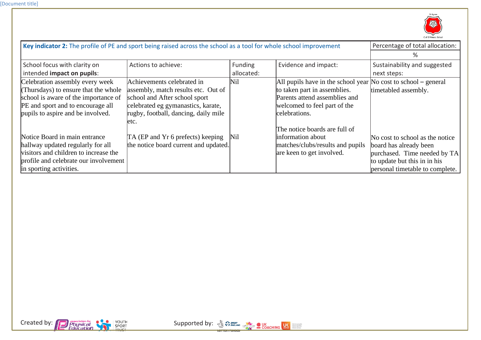

| Key indicator 2: The profile of PE and sport being raised across the school as a tool for whole school improvement                                                                        |                                                                                                                                                                                           |                              |                                                                                                                                                                                              | Percentage of total allocation:                                                                                                                              |
|-------------------------------------------------------------------------------------------------------------------------------------------------------------------------------------------|-------------------------------------------------------------------------------------------------------------------------------------------------------------------------------------------|------------------------------|----------------------------------------------------------------------------------------------------------------------------------------------------------------------------------------------|--------------------------------------------------------------------------------------------------------------------------------------------------------------|
|                                                                                                                                                                                           |                                                                                                                                                                                           |                              |                                                                                                                                                                                              | ℅                                                                                                                                                            |
| School focus with clarity on<br>intended impact on pupils:                                                                                                                                | Actions to achieve:                                                                                                                                                                       | <b>Funding</b><br>allocated: | Evidence and impact:                                                                                                                                                                         | Sustainability and suggested<br>next steps:                                                                                                                  |
| Celebration assembly every week<br>(Thursdays) to ensure that the whole<br>school is aware of the importance of<br>PE and sport and to encourage all<br>pupils to aspire and be involved. | Achievements celebrated in<br>assembly, match results etc. Out of<br>school and After school sport<br>celebrated eg gymanastics, karate,<br>rugby, football, dancing, daily mile<br>letc. | Nil                          | All pupils have in the school year $\overline{N}$ cost to school – general<br>to taken part in assemblies.<br>Parents attend assemblies and<br>welcomed to feel part of the<br>celebrations. | timetabled assembly.                                                                                                                                         |
| Notice Board in main entrance<br>hallway updated regularly for all<br>visitors and children to increase the<br>profile and celebrate our involvement<br>in sporting activities.           | TA (EP and Yr 6 prefects) keeping<br>the notice board current and updated.                                                                                                                | Nil                          | The notice boards are full of<br>information about<br>matches/clubs/results and pupils<br>are keen to get involved.                                                                          | No cost to school as the notice<br>board has already been<br>purchased. Time needed by TA<br>to update but this in in his<br>personal timetable to complete. |

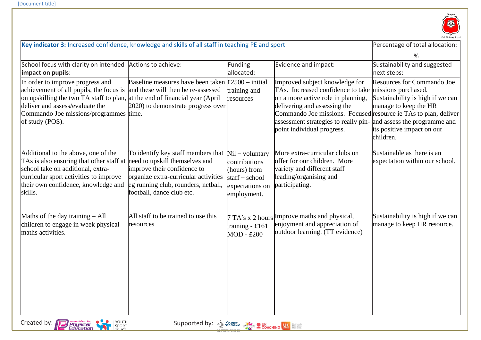

| Key indicator 3: Increased confidence, knowledge and skills of all staff in teaching PE and sport                                                                                                                                                          |                                                                                                                                                                                                                 |                                                                                                          | Percentage of total allocation:                                                                                                                                                                                                                                                                                                     |                                                                                                                                    |
|------------------------------------------------------------------------------------------------------------------------------------------------------------------------------------------------------------------------------------------------------------|-----------------------------------------------------------------------------------------------------------------------------------------------------------------------------------------------------------------|----------------------------------------------------------------------------------------------------------|-------------------------------------------------------------------------------------------------------------------------------------------------------------------------------------------------------------------------------------------------------------------------------------------------------------------------------------|------------------------------------------------------------------------------------------------------------------------------------|
|                                                                                                                                                                                                                                                            |                                                                                                                                                                                                                 |                                                                                                          |                                                                                                                                                                                                                                                                                                                                     | %                                                                                                                                  |
| School focus with clarity on intended<br>impact on pupils:                                                                                                                                                                                                 | Actions to achieve:                                                                                                                                                                                             | Funding<br>allocated:                                                                                    | Evidence and impact:                                                                                                                                                                                                                                                                                                                | Sustainability and suggested<br>next steps:                                                                                        |
| In order to improve progress and<br>achievement of all pupils, the focus is<br>on upskilling the two TA staff to plan, at the end of financial year (April<br>deliver and assess/evaluate the<br>Commando Joe missions/programmes time.<br>of study (POS). | Baseline measures have been taken $\text{\pounds}2500$ – initial<br>and these will then be re-assessed<br>2020) to demonstrate progress over                                                                    | training and<br>resources                                                                                | Improved subject knowledge for<br>TAs. Increased confidence to take missions purchased.<br>on a more active role in planning,<br>delivering and assessing the<br>Commando Joe missions. Focused resource ie TAs to plan, deliver<br>assessment strategies to really pin- and assess the programme and<br>point individual progress. | Resources for Commando Joe<br>Sustainability is high if we can<br>manage to keep the HR<br>its positive impact on our<br>children. |
| Additional to the above, one of the<br>TAs is also ensuring that other staff at<br>school take on additional, extra-<br>curricular sport activities to improve<br>their own confidence, knowledge and<br>skills.                                           | To identify key staff members that<br>need to upskill themselves and<br>improve their confidence to<br>organize extra-curricular activities<br>eg running club, rounders, netball,<br>football, dance club etc. | $Nil$ - voluntary<br>contributions<br>(hours) from<br>$statf - school$<br>expectations on<br>employment. | More extra-curricular clubs on<br>offer for our children. More<br>variety and different staff<br>leading/organising and<br>participating.                                                                                                                                                                                           | Sustainable as there is an<br>expectation within our school.                                                                       |
| Maths of the day training $-$ All<br>children to engage in week physical<br>maths activities.                                                                                                                                                              | All staff to be trained to use this<br>resources                                                                                                                                                                | training - £161<br>$MOD - £200$                                                                          | 7 TA's x 2 hours Improve maths and physical,<br>enjoyment and appreciation of<br>outdoor learning. (TT evidence)                                                                                                                                                                                                                    | Sustainability is high if we can<br>manage to keep HR resource.                                                                    |
| Created by:<br><b>YOUTH</b><br>association for<br>Physical<br>Education<br>Supported by: $\sqrt[3]{x}$ $\frac{1}{\sqrt[3]{x}}$ $\frac{1}{\sqrt[3]{x}}$ COACHING $\frac{1}{\sqrt[3]{x}}$ $\frac{1}{\sqrt[3]{x}}$<br>SPORT                                   |                                                                                                                                                                                                                 |                                                                                                          |                                                                                                                                                                                                                                                                                                                                     |                                                                                                                                    |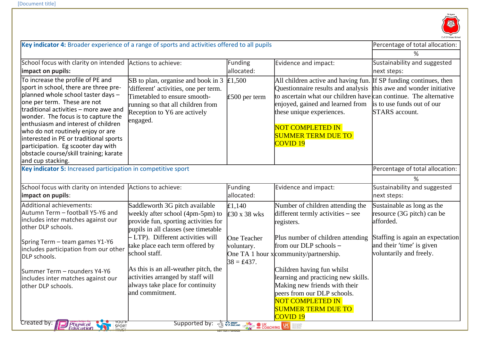

| Key indicator 4: Broader experience of a range of sports and activities offered to all pupils                                                                                                                                  |                                                                           |                           | Percentage of total allocation:                                   |                                                               |
|--------------------------------------------------------------------------------------------------------------------------------------------------------------------------------------------------------------------------------|---------------------------------------------------------------------------|---------------------------|-------------------------------------------------------------------|---------------------------------------------------------------|
|                                                                                                                                                                                                                                |                                                                           |                           | %                                                                 |                                                               |
| School focus with clarity on intended                                                                                                                                                                                          | Actions to achieve:                                                       | Funding                   | Evidence and impact:                                              | Sustainability and suggested                                  |
| impact on pupils:                                                                                                                                                                                                              |                                                                           | allocated:                |                                                                   | next steps:                                                   |
| To increase the profile of PE and                                                                                                                                                                                              | SB to plan, organise and book in 3 $\text{\pounds}1,500$                  |                           | All children active and having fun. If SP funding continues, then |                                                               |
| sport in school, there are three pre-                                                                                                                                                                                          | 'different' activities, one per term.                                     |                           | Questionnaire results and analysis this awe and wonder initiative |                                                               |
| planned whole school taster days -<br>one per term. These are not                                                                                                                                                              | Timetabled to ensure smooth-                                              | $£500$ per term           | to ascertain what our children have can continue. The alternative |                                                               |
| traditional activities - more awe and                                                                                                                                                                                          | running so that all children from                                         |                           | enjoyed, gained and learned from is to use funds out of our       |                                                               |
| wonder. The focus is to capture the                                                                                                                                                                                            | Reception to Y6 are actively                                              |                           | these unique experiences.                                         | STARS account.                                                |
| enthusiasm and interest of children                                                                                                                                                                                            | engaged.                                                                  |                           | NOT COMPLETED IN                                                  |                                                               |
| who do not routinely enjoy or are                                                                                                                                                                                              |                                                                           |                           | <b>SUMMER TERM DUE TO</b>                                         |                                                               |
| interested in PE or traditional sports<br>participation. Eg scooter day with                                                                                                                                                   |                                                                           |                           | COVID <sub>19</sub>                                               |                                                               |
| obstacle course/skill training; karate                                                                                                                                                                                         |                                                                           |                           |                                                                   |                                                               |
| and cup stacking.                                                                                                                                                                                                              |                                                                           |                           |                                                                   |                                                               |
| Key indicator 5: Increased participation in competitive sport                                                                                                                                                                  |                                                                           |                           |                                                                   | Percentage of total allocation:                               |
|                                                                                                                                                                                                                                | %                                                                         |                           |                                                                   |                                                               |
| School focus with clarity on intended                                                                                                                                                                                          | Actions to achieve:                                                       | Funding                   | Evidence and impact:                                              | Sustainability and suggested                                  |
| impact on pupils:                                                                                                                                                                                                              |                                                                           | allocated:                |                                                                   | next steps:                                                   |
| Additional achievements:                                                                                                                                                                                                       | Saddleworth 3G pitch available                                            | E1,140                    | Number of children attending the                                  | Sustainable as long as the                                    |
| Autumn Term - football Y5-Y6 and                                                                                                                                                                                               | weekly after school (4pm-5pm) to                                          | $£30 \times 38$ wks       | different termly activities – see                                 | resource (3G pitch) can be                                    |
| includes inter matches against our<br>other DLP schools.                                                                                                                                                                       | provide fun, sporting activities for                                      |                           | registers.                                                        | afforded.                                                     |
|                                                                                                                                                                                                                                | pupils in all classes (see timetable<br>- LTP). Different activities will |                           |                                                                   |                                                               |
| Spring Term - team games Y1-Y6                                                                                                                                                                                                 | take place each term offered by                                           | One Teacher<br>voluntary. | Plus number of children attending<br>from our DLP schools -       | Staffing is again an expectation<br>and their 'time' is given |
| includes participation from our other                                                                                                                                                                                          | school staff.                                                             |                           | One TA 1 hour x community/partnership.                            | voluntarily and freely.                                       |
| DLP schools.                                                                                                                                                                                                                   |                                                                           | $38 = \text{\pounds}437.$ |                                                                   |                                                               |
| Summer Term - rounders Y4-Y6                                                                                                                                                                                                   | As this is an all-weather pitch, the                                      |                           | Children having fun whilst                                        |                                                               |
| includes inter matches against our                                                                                                                                                                                             | activities arranged by staff will                                         |                           | learning and practicing new skills.                               |                                                               |
| other DLP schools.                                                                                                                                                                                                             | always take place for continuity                                          |                           | Making new friends with their                                     |                                                               |
|                                                                                                                                                                                                                                | and commitment.                                                           |                           | peers from our DLP schools.                                       |                                                               |
|                                                                                                                                                                                                                                |                                                                           |                           | NOT COMPLETED IN                                                  |                                                               |
|                                                                                                                                                                                                                                |                                                                           |                           | <b>SUMMER TERM DUE TO</b><br><b>COVID 19</b>                      |                                                               |
| Created by:<br>NOUTH<br>SPORT<br><b>Physical</b><br>Education                                                                                                                                                                  |                                                                           |                           |                                                                   |                                                               |
| Supported by: 4 M SHE DES LOACHING US TO BE A COACHING US TO BE A COACHING US TO BE A COACHING US TO BE A CONTROL US TO BE A CONTROL US OF THE A CONTROL US OF THE A CONTROL US OF THE A CONTROL US OF THE A CONTROL US OF THE |                                                                           |                           |                                                                   |                                                               |